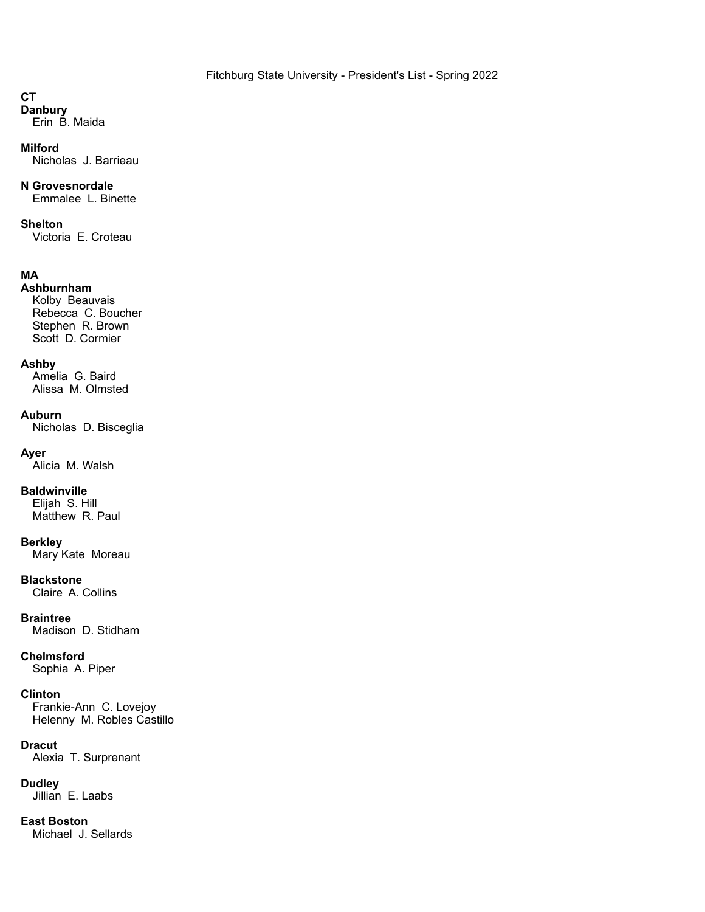# **CT**

**Danbury** Erin B. Maida

### **Milford**

Nicholas J. Barrieau

# **N Grovesnordale**

Emmalee L. Binette

# **Shelton**

Victoria E. Croteau

# **MA**

# **Ashburnham**

Kolby Beauvais Rebecca C. Boucher Stephen R. Brown Scott D. Cormier

# **Ashby**

Amelia G. Baird Alissa M. Olmsted

# **Auburn**

Nicholas D. Bisceglia

# **Ayer**

Alicia M. Walsh

# **Baldwinville**

Elijah S. Hill Matthew R. Paul

#### **Berkley**

Mary Kate Moreau

# **Blackstone**

Claire A. Collins

# **Braintree**

Madison D. Stidham

# **Chelmsford**

Sophia A. Piper

#### **Clinton**

Frankie-Ann C. Lovejoy Helenny M. Robles Castillo

#### **Dracut**

Alexia T. Surprenant

# **Dudley**

Jillian E. Laabs

# **East Boston**

Michael J. Sellards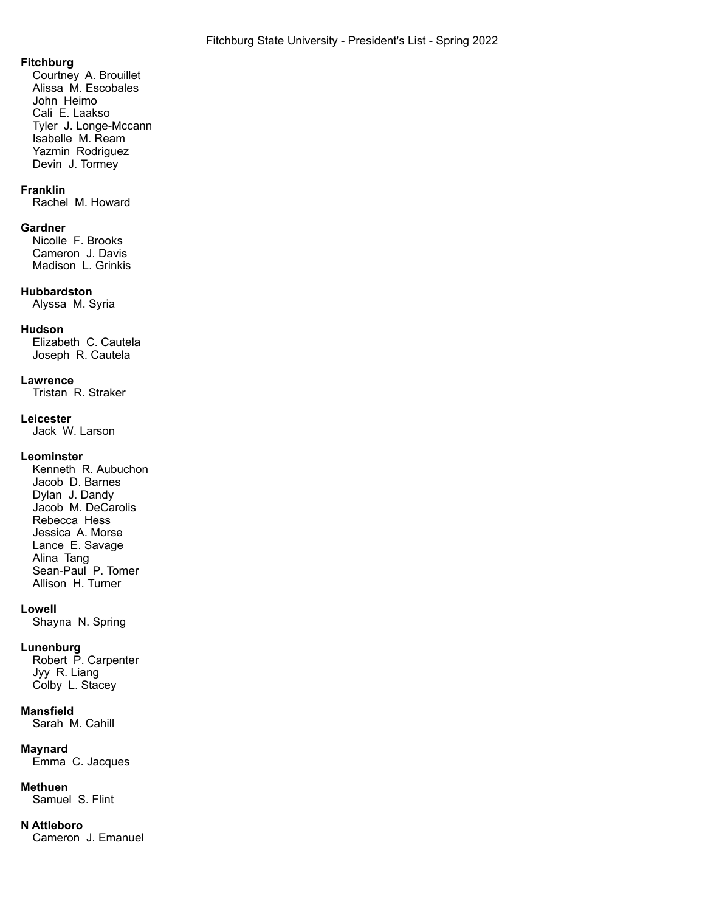#### **Fitchburg**

Courtney A. Brouillet Alissa M. Escobales John Heimo Cali E. Laakso Tyler J. Longe-Mccann Isabelle M. Ream Yazmin Rodriguez Devin J. Tormey

#### **Franklin**

Rachel M. Howard

#### **Gardner**

Nicolle F. Brooks Cameron J. Davis Madison L. Grinkis

#### **Hubbardston**

Alyssa M. Syria

### **Hudson**

Elizabeth C. Cautela Joseph R. Cautela

#### **Lawrence**

Tristan R. Straker

### **Leicester**

Jack W. Larson

### **Leominster**

Kenneth R. Aubuchon Jacob D. Barnes Dylan J. Dandy Jacob M. DeCarolis Rebecca Hess Jessica A. Morse Lance E. Savage Alina Tang Sean-Paul P. Tomer Allison H. Turner

#### **Lowell**

Shayna N. Spring

#### **Lunenburg**

Robert P. Carpenter Jyy R. Liang Colby L. Stacey

#### **Mansfield**

Sarah M. Cahill

#### **Maynard**

Emma C. Jacques

#### **Methuen**

Samuel S. Flint

### **N Attleboro**

Cameron J. Emanuel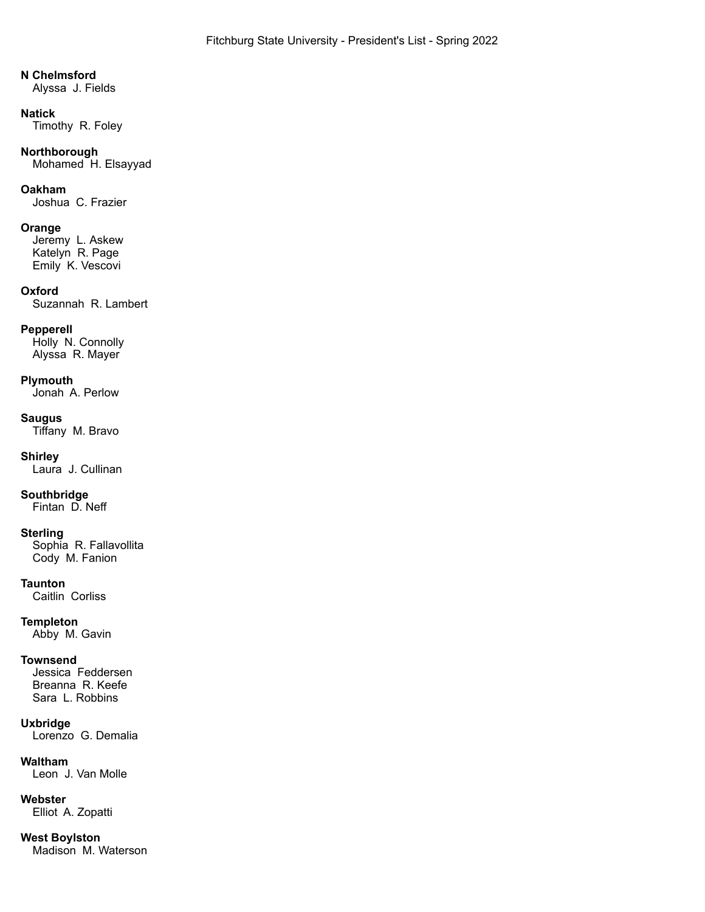#### **N Chelmsford**

Alyssa J. Fields

#### **Natick**

Timothy R. Foley

# **Northborough**

Mohamed H. Elsayyad

#### **Oakham**

Joshua C. Frazier

#### **Orange**

Jeremy L. Askew Katelyn R. Page Emily K. Vescovi

#### **Oxford**

Suzannah R. Lambert

### **Pepperell**

Holly N. Connolly Alyssa R. Mayer

#### **Plymouth**

Jonah A. Perlow

### **Saugus**

Tiffany M. Bravo

### **Shirley**

Laura J. Cullinan

# **Southbridge**

Fintan D. Neff

#### **Sterling**

Sophia R. Fallavollita Cody M. Fanion

#### **Taunton**

Caitlin Corliss

### **Templeton**

Abby M. Gavin

#### **Townsend**

Jessica Feddersen Breanna R. Keefe Sara L. Robbins

#### **Uxbridge**

Lorenzo G. Demalia

# **Waltham**

Leon J. Van Molle

#### **Webster**

Elliot A. Zopatti

# **West Boylston**

Madison M. Waterson